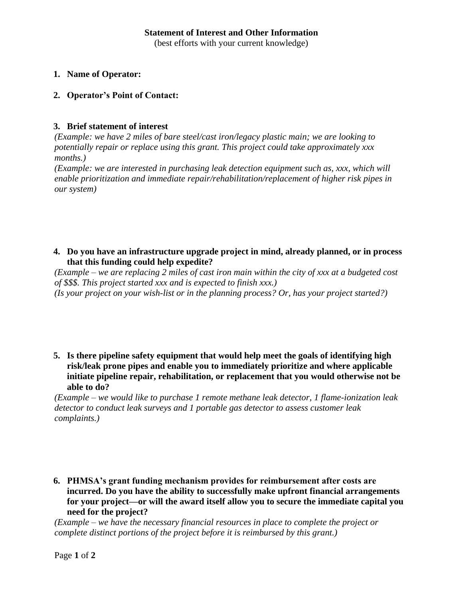(best efforts with your current knowledge)

## **1. Name of Operator:**

## **2. Operator's Point of Contact:**

## **3. Brief statement of interest**

*(Example: we have 2 miles of bare steel/cast iron/legacy plastic main; we are looking to potentially repair or replace using this grant. This project could take approximately xxx months.)*

*(Example: we are interested in purchasing leak detection equipment such as, xxx, which will enable prioritization and immediate repair/rehabilitation/replacement of higher risk pipes in our system)*

**4. Do you have an infrastructure upgrade project in mind, already planned, or in process that this funding could help expedite?**

*(Example – we are replacing 2 miles of cast iron main within the city of xxx at a budgeted cost of \$\$\$. This project started xxx and is expected to finish xxx.) (Is your project on your wish-list or in the planning process? Or, has your project started?)*

**5. Is there pipeline safety equipment that would help meet the goals of identifying high risk/leak prone pipes and enable you to immediately prioritize and where applicable initiate pipeline repair, rehabilitation, or replacement that you would otherwise not be able to do?**

*(Example – we would like to purchase 1 remote methane leak detector, 1 flame-ionization leak detector to conduct leak surveys and 1 portable gas detector to assess customer leak complaints.)* 

**6. PHMSA's grant funding mechanism provides for reimbursement after costs are incurred. Do you have the ability to successfully make upfront financial arrangements for your project—or will the award itself allow you to secure the immediate capital you need for the project?**

*(Example – we have the necessary financial resources in place to complete the project or complete distinct portions of the project before it is reimbursed by this grant.)*